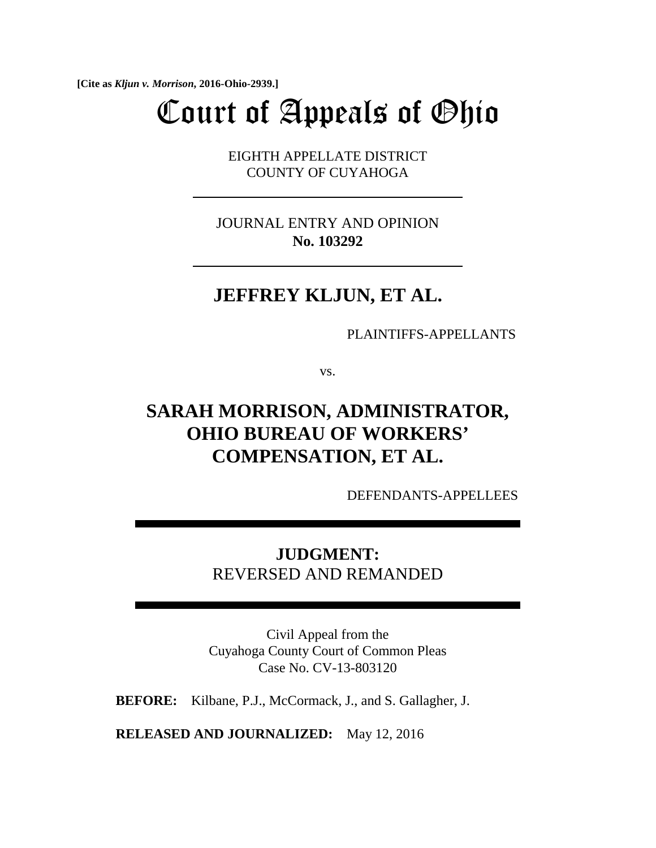**[Cite as** *Kljun v. Morrison***, 2016-Ohio-2939.]**

# Court of Appeals of Ohio

 EIGHTH APPELLATE DISTRICT COUNTY OF CUYAHOGA

JOURNAL ENTRY AND OPINION  **No. 103292**

# **JEFFREY KLJUN, ET AL.**

PLAINTIFFS-APPELLANTS

vs.

# **SARAH MORRISON, ADMINISTRATOR, OHIO BUREAU OF WORKERS' COMPENSATION, ET AL.**

DEFENDANTS-APPELLEES

**JUDGMENT:** REVERSED AND REMANDED

Civil Appeal from the Cuyahoga County Court of Common Pleas Case No. CV-13-803120

**BEFORE:** Kilbane, P.J., McCormack, J., and S. Gallagher, J.

**RELEASED AND JOURNALIZED:** May 12, 2016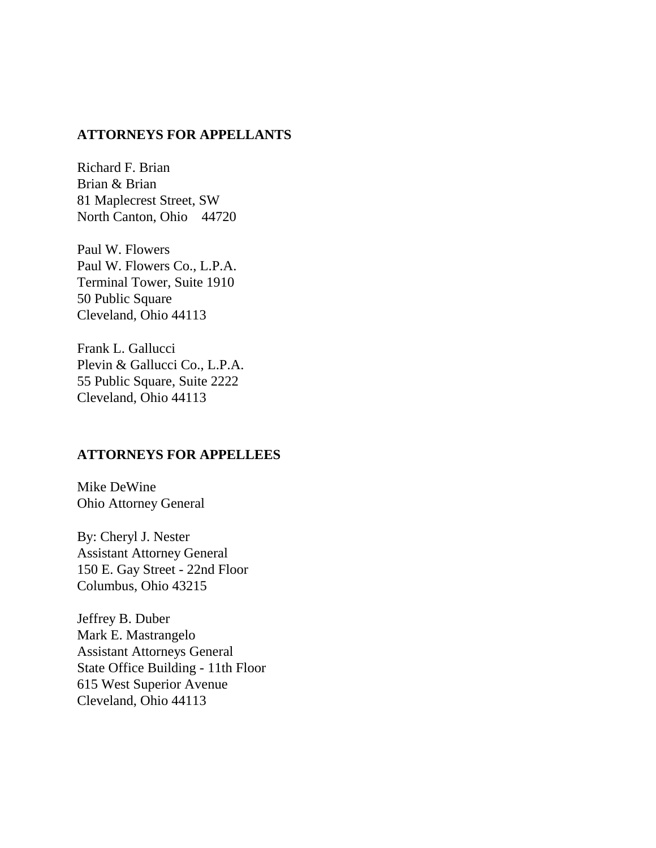# **ATTORNEYS FOR APPELLANTS**

Richard F. Brian Brian & Brian 81 Maplecrest Street, SW North Canton, Ohio 44720

Paul W. Flowers Paul W. Flowers Co., L.P.A. Terminal Tower, Suite 1910 50 Public Square Cleveland, Ohio 44113

Frank L. Gallucci Plevin & Gallucci Co., L.P.A. 55 Public Square, Suite 2222 Cleveland, Ohio 44113

# **ATTORNEYS FOR APPELLEES**

Mike DeWine Ohio Attorney General

By: Cheryl J. Nester Assistant Attorney General 150 E. Gay Street - 22nd Floor Columbus, Ohio 43215

Jeffrey B. Duber Mark E. Mastrangelo Assistant Attorneys General State Office Building - 11th Floor 615 West Superior Avenue Cleveland, Ohio 44113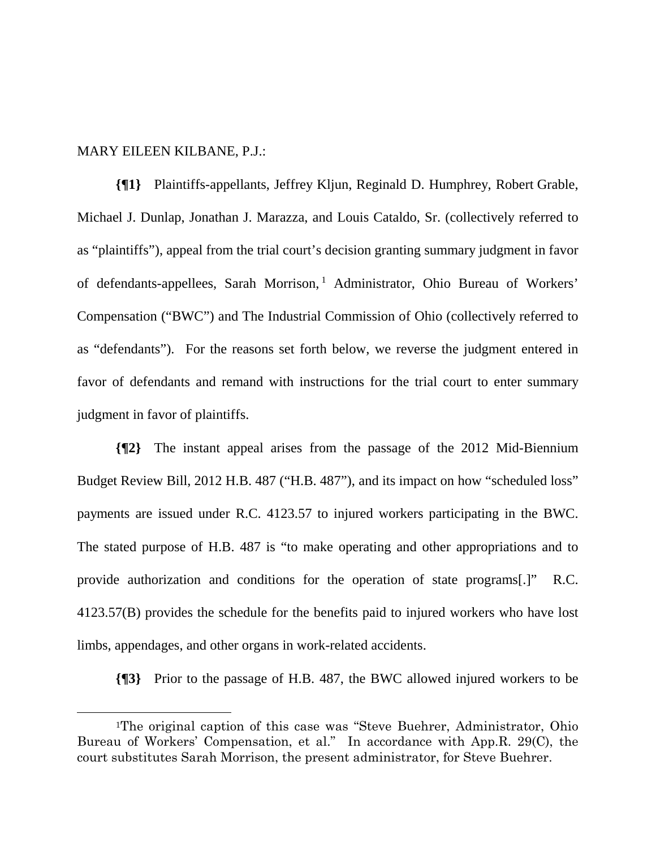#### MARY EILEEN KILBANE, P.J.:

**{¶1}** Plaintiffs-appellants, Jeffrey Kljun, Reginald D. Humphrey, Robert Grable, Michael J. Dunlap, Jonathan J. Marazza, and Louis Cataldo, Sr. (collectively referred to as "plaintiffs"), appeal from the trial court's decision granting summary judgment in favor of defendants-appellees, Sarah Morrison,<sup>1</sup> Administrator, Ohio Bureau of Workers' Compensation ("BWC") and The Industrial Commission of Ohio (collectively referred to as "defendants"). For the reasons set forth below, we reverse the judgment entered in favor of defendants and remand with instructions for the trial court to enter summary judgment in favor of plaintiffs.

**{¶2}** The instant appeal arises from the passage of the 2012 Mid-Biennium Budget Review Bill, 2012 H.B. 487 ("H.B. 487"), and its impact on how "scheduled loss" payments are issued under R.C. 4123.57 to injured workers participating in the BWC. The stated purpose of H.B. 487 is "to make operating and other appropriations and to provide authorization and conditions for the operation of state programs[.]" R.C. 4123.57(B) provides the schedule for the benefits paid to injured workers who have lost limbs, appendages, and other organs in work-related accidents.

**{¶3}** Prior to the passage of H.B. 487, the BWC allowed injured workers to be

 <sup>1</sup>The original caption of this case was "Steve Buehrer, Administrator, Ohio Bureau of Workers' Compensation, et al." In accordance with App.R. 29(C), the court substitutes Sarah Morrison, the present administrator, for Steve Buehrer.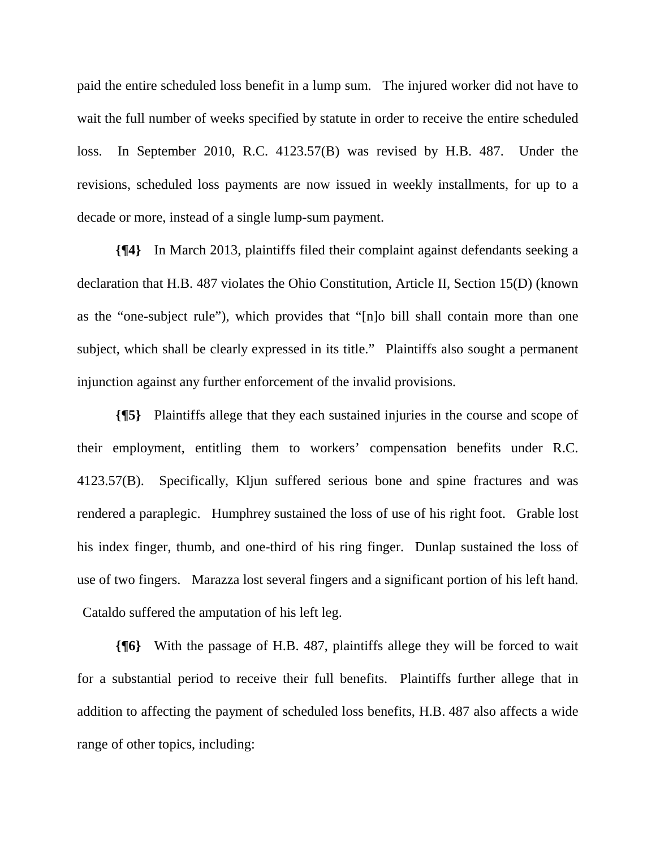paid the entire scheduled loss benefit in a lump sum. The injured worker did not have to wait the full number of weeks specified by statute in order to receive the entire scheduled loss. In September 2010, R.C. 4123.57(B) was revised by H.B. 487. Under the revisions, scheduled loss payments are now issued in weekly installments, for up to a decade or more, instead of a single lump-sum payment.

**{¶4}** In March 2013, plaintiffs filed their complaint against defendants seeking a declaration that H.B. 487 violates the Ohio Constitution, Article II, Section 15(D) (known as the "one-subject rule"), which provides that "[n]o bill shall contain more than one subject, which shall be clearly expressed in its title." Plaintiffs also sought a permanent injunction against any further enforcement of the invalid provisions.

**{¶5}** Plaintiffs allege that they each sustained injuries in the course and scope of their employment, entitling them to workers' compensation benefits under R.C. 4123.57(B). Specifically, Kljun suffered serious bone and spine fractures and was rendered a paraplegic. Humphrey sustained the loss of use of his right foot. Grable lost his index finger, thumb, and one-third of his ring finger. Dunlap sustained the loss of use of two fingers. Marazza lost several fingers and a significant portion of his left hand. Cataldo suffered the amputation of his left leg.

**{¶6}** With the passage of H.B. 487, plaintiffs allege they will be forced to wait for a substantial period to receive their full benefits. Plaintiffs further allege that in addition to affecting the payment of scheduled loss benefits, H.B. 487 also affects a wide range of other topics, including: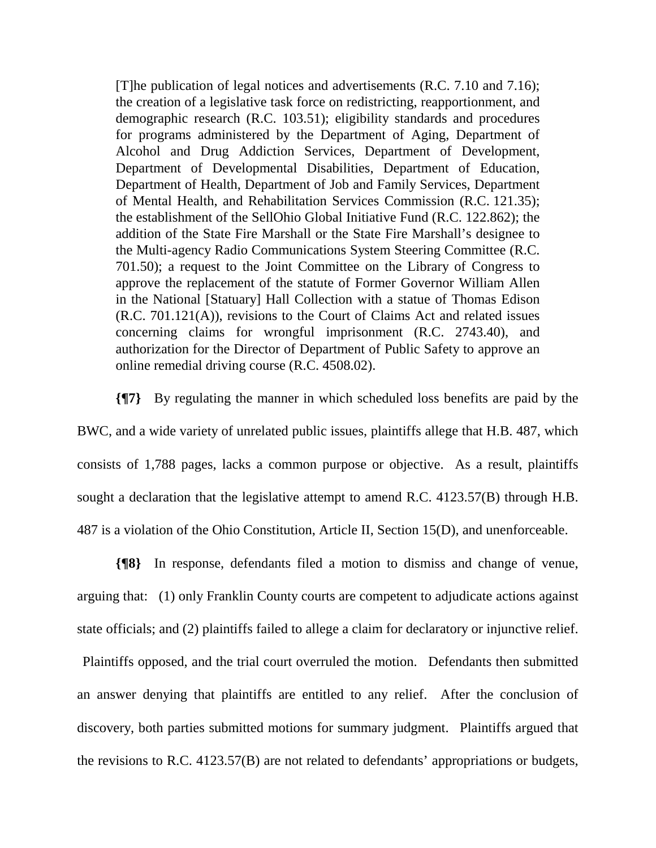[T]he publication of legal notices and advertisements (R.C. 7.10 and 7.16); the creation of a legislative task force on redistricting, reapportionment, and demographic research (R.C. 103.51); eligibility standards and procedures for programs administered by the Department of Aging, Department of Alcohol and Drug Addiction Services, Department of Development, Department of Developmental Disabilities, Department of Education, Department of Health, Department of Job and Family Services, Department of Mental Health, and Rehabilitation Services Commission (R.C. 121.35); the establishment of the SellOhio Global Initiative Fund (R.C. 122.862); the addition of the State Fire Marshall or the State Fire Marshall's designee to the Multi-agency Radio Communications System Steering Committee (R.C. 701.50); a request to the Joint Committee on the Library of Congress to approve the replacement of the statute of Former Governor William Allen in the National [Statuary] Hall Collection with a statue of Thomas Edison (R.C. 701.121(A)), revisions to the Court of Claims Act and related issues concerning claims for wrongful imprisonment (R.C. 2743.40), and authorization for the Director of Department of Public Safety to approve an online remedial driving course (R.C. 4508.02).

**{¶7}** By regulating the manner in which scheduled loss benefits are paid by the BWC, and a wide variety of unrelated public issues, plaintiffs allege that H.B. 487, which consists of 1,788 pages, lacks a common purpose or objective. As a result, plaintiffs sought a declaration that the legislative attempt to amend R.C. 4123.57(B) through H.B. 487 is a violation of the Ohio Constitution, Article II, Section 15(D), and unenforceable.

**{¶8}** In response, defendants filed a motion to dismiss and change of venue, arguing that: (1) only Franklin County courts are competent to adjudicate actions against state officials; and (2) plaintiffs failed to allege a claim for declaratory or injunctive relief.

 Plaintiffs opposed, and the trial court overruled the motion. Defendants then submitted an answer denying that plaintiffs are entitled to any relief. After the conclusion of discovery, both parties submitted motions for summary judgment. Plaintiffs argued that the revisions to R.C. 4123.57(B) are not related to defendants' appropriations or budgets,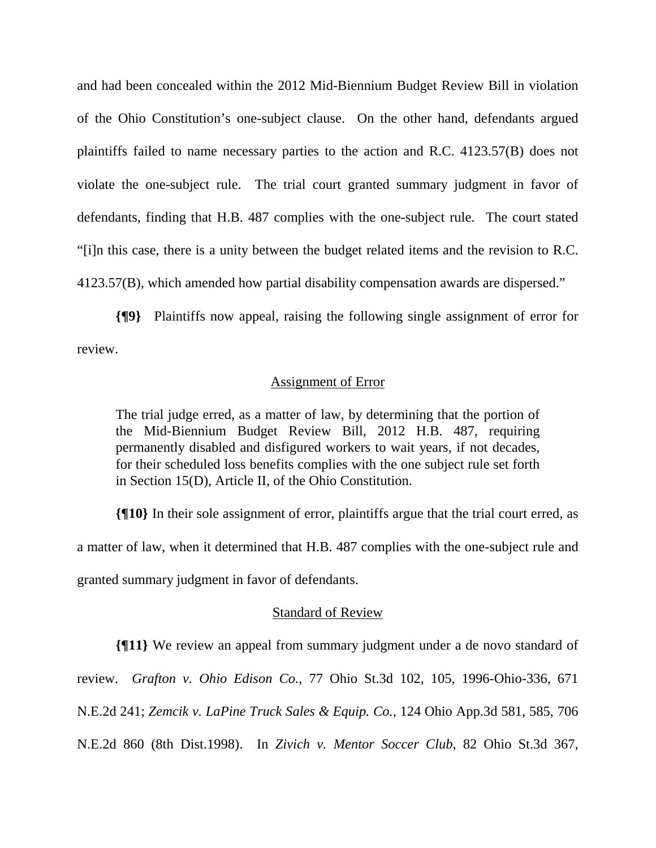and had been concealed within the 2012 Mid-Biennium Budget Review Bill in violation of the Ohio Constitution's one-subject clause. On the other hand, defendants argued plaintiffs failed to name necessary parties to the action and R.C. 4123.57(B) does not violate the one-subject rule. The trial court granted summary judgment in favor of defendants, finding that H.B. 487 complies with the one-subject rule. The court stated "[i]n this case, there is a unity between the budget related items and the revision to R.C. 4123.57(B), which amended how partial disability compensation awards are dispersed."

**{¶9}** Plaintiffs now appeal, raising the following single assignment of error for review.

#### Assignment of Error

The trial judge erred, as a matter of law, by determining that the portion of the Mid-Biennium Budget Review Bill, 2012 H.B. 487, requiring permanently disabled and disfigured workers to wait years, if not decades, for their scheduled loss benefits complies with the one subject rule set forth in Section 15(D), Article II, of the Ohio Constitution.

**{¶10}** In their sole assignment of error, plaintiffs argue that the trial court erred, as a matter of law, when it determined that H.B. 487 complies with the one-subject rule and granted summary judgment in favor of defendants.

# Standard of Review

**{¶11}** We review an appeal from summary judgment under a de novo standard of review. *Grafton v. Ohio Edison Co.*, 77 Ohio St.3d 102, 105, 1996-Ohio-336, 671 N.E.2d 241; *Zemcik v. LaPine Truck Sales & Equip. Co.*, 124 Ohio App.3d 581, 585, 706 N.E.2d 860 (8th Dist.1998). In *Zivich v. Mentor Soccer Club*, 82 Ohio St.3d 367,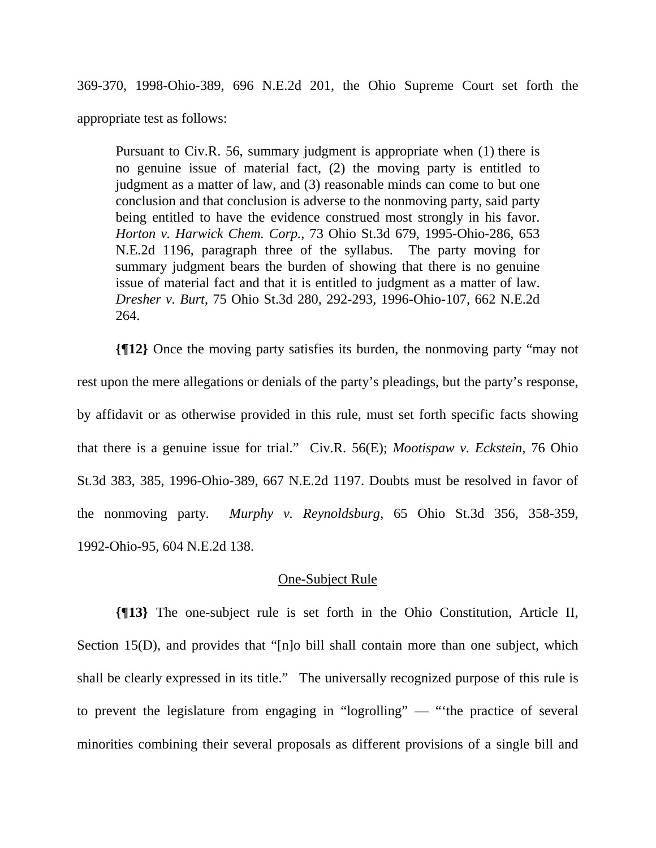369-370, 1998-Ohio-389, 696 N.E.2d 201, the Ohio Supreme Court set forth the appropriate test as follows:

Pursuant to Civ.R. 56, summary judgment is appropriate when (1) there is no genuine issue of material fact, (2) the moving party is entitled to judgment as a matter of law, and (3) reasonable minds can come to but one conclusion and that conclusion is adverse to the nonmoving party, said party being entitled to have the evidence construed most strongly in his favor. *Horton v. Harwick Chem. Corp.*, 73 Ohio St.3d 679, 1995-Ohio-286, 653 N.E.2d 1196, paragraph three of the syllabus. The party moving for summary judgment bears the burden of showing that there is no genuine issue of material fact and that it is entitled to judgment as a matter of law. *Dresher v. Burt*, 75 Ohio St.3d 280, 292-293, 1996-Ohio-107, 662 N.E.2d 264.

**{¶12}** Once the moving party satisfies its burden, the nonmoving party "may not rest upon the mere allegations or denials of the party's pleadings, but the party's response, by affidavit or as otherwise provided in this rule, must set forth specific facts showing that there is a genuine issue for trial." Civ.R. 56(E); *Mootispaw v. Eckstein*, 76 Ohio St.3d 383, 385, 1996-Ohio-389, 667 N.E.2d 1197. Doubts must be resolved in favor of the nonmoving party. *Murphy v. Reynoldsburg*, 65 Ohio St.3d 356, 358-359, 1992-Ohio-95, 604 N.E.2d 138.

# One-Subject Rule

**{¶13}** The one-subject rule is set forth in the Ohio Constitution, Article II, Section 15(D), and provides that "[n]o bill shall contain more than one subject, which shall be clearly expressed in its title." The universally recognized purpose of this rule is to prevent the legislature from engaging in "logrolling" — "'the practice of several minorities combining their several proposals as different provisions of a single bill and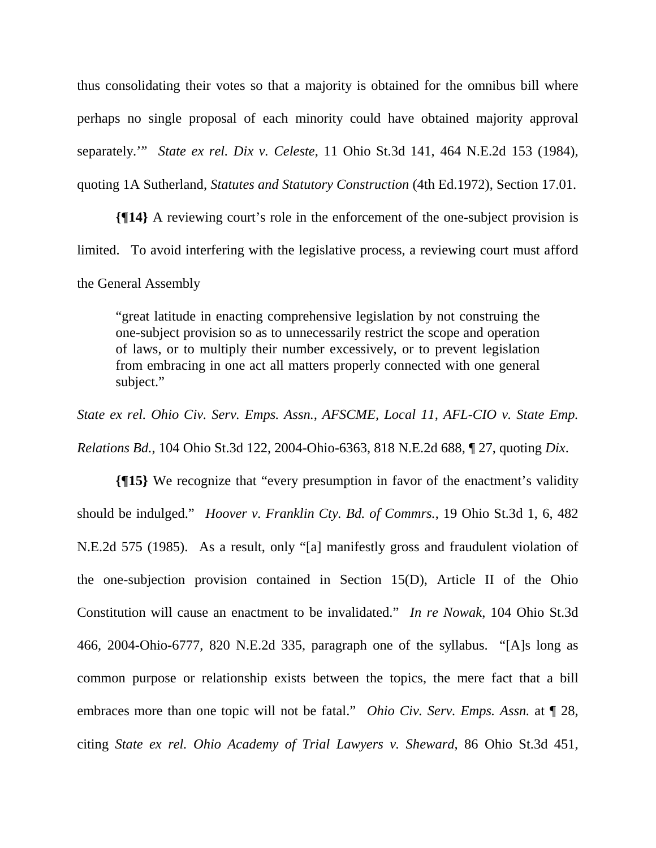thus consolidating their votes so that a majority is obtained for the omnibus bill where perhaps no single proposal of each minority could have obtained majority approval separately.'" *State ex rel. Dix v. Celeste*, 11 Ohio St.3d 141, 464 N.E.2d 153 (1984), quoting 1A Sutherland, *Statutes and Statutory Construction* (4th Ed.1972), Section 17.01.

**{¶14}** A reviewing court's role in the enforcement of the one-subject provision is limited. To avoid interfering with the legislative process, a reviewing court must afford the General Assembly

"great latitude in enacting comprehensive legislation by not construing the one-subject provision so as to unnecessarily restrict the scope and operation of laws, or to multiply their number excessively, or to prevent legislation from embracing in one act all matters properly connected with one general subject."

*State ex rel. Ohio Civ. Serv. Emps. Assn., AFSCME, Local 11, AFL-CIO v. State Emp. Relations Bd.*, 104 Ohio St.3d 122, 2004-Ohio-6363, 818 N.E.2d 688, ¶ 27, quoting *Dix*.

**{¶15}** We recognize that "every presumption in favor of the enactment's validity should be indulged." *Hoover v. Franklin Cty. Bd. of Commrs.*, 19 Ohio St.3d 1, 6, 482 N.E.2d 575 (1985). As a result, only "[a] manifestly gross and fraudulent violation of the one-subjection provision contained in Section 15(D), Article II of the Ohio Constitution will cause an enactment to be invalidated." *In re Nowak*, 104 Ohio St.3d 466, 2004-Ohio-6777, 820 N.E.2d 335, paragraph one of the syllabus. "[A]s long as common purpose or relationship exists between the topics, the mere fact that a bill embraces more than one topic will not be fatal." *Ohio Civ. Serv. Emps. Assn.* at ¶ 28, citing *State ex rel. Ohio Academy of Trial Lawyers v. Sheward*, 86 Ohio St.3d 451,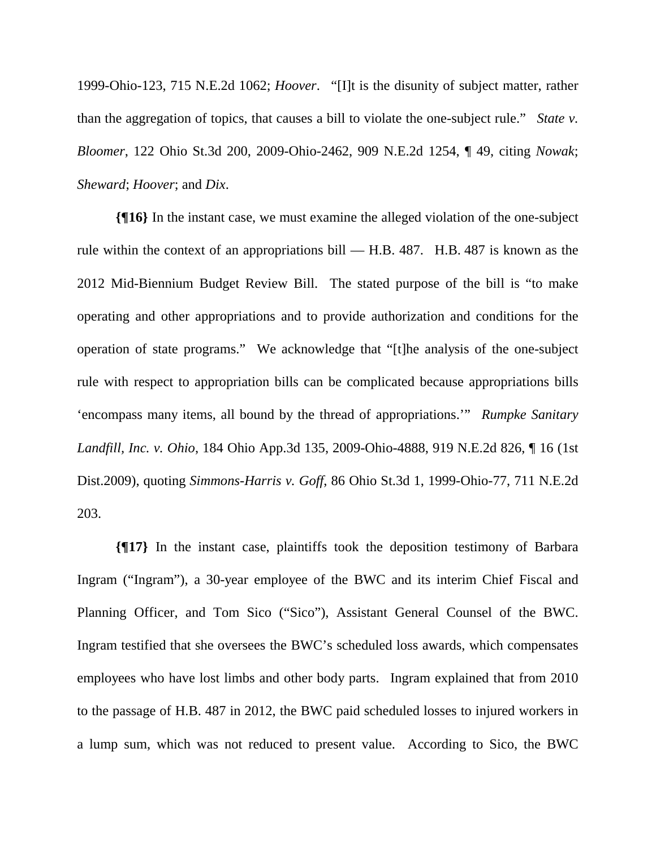1999-Ohio-123, 715 N.E.2d 1062; *Hoover*. "[I]t is the disunity of subject matter, rather than the aggregation of topics, that causes a bill to violate the one-subject rule." *State v. Bloomer*, 122 Ohio St.3d 200, 2009-Ohio-2462, 909 N.E.2d 1254, ¶ 49, citing *Nowak*; *Sheward*; *Hoover*; and *Dix*.

**{¶16}** In the instant case, we must examine the alleged violation of the one-subject rule within the context of an appropriations bill — H.B. 487. H.B. 487 is known as the 2012 Mid-Biennium Budget Review Bill. The stated purpose of the bill is "to make operating and other appropriations and to provide authorization and conditions for the operation of state programs." We acknowledge that "[t]he analysis of the one-subject rule with respect to appropriation bills can be complicated because appropriations bills 'encompass many items, all bound by the thread of appropriations.'" *Rumpke Sanitary Landfill, Inc. v. Ohio*, 184 Ohio App.3d 135, 2009-Ohio-4888, 919 N.E.2d 826, ¶ 16 (1st Dist.2009), quoting *Simmons-Harris v. Goff*, 86 Ohio St.3d 1, 1999-Ohio-77, 711 N.E.2d 203.

**{¶17}** In the instant case, plaintiffs took the deposition testimony of Barbara Ingram ("Ingram"), a 30-year employee of the BWC and its interim Chief Fiscal and Planning Officer, and Tom Sico ("Sico"), Assistant General Counsel of the BWC. Ingram testified that she oversees the BWC's scheduled loss awards, which compensates employees who have lost limbs and other body parts. Ingram explained that from 2010 to the passage of H.B. 487 in 2012, the BWC paid scheduled losses to injured workers in a lump sum, which was not reduced to present value. According to Sico, the BWC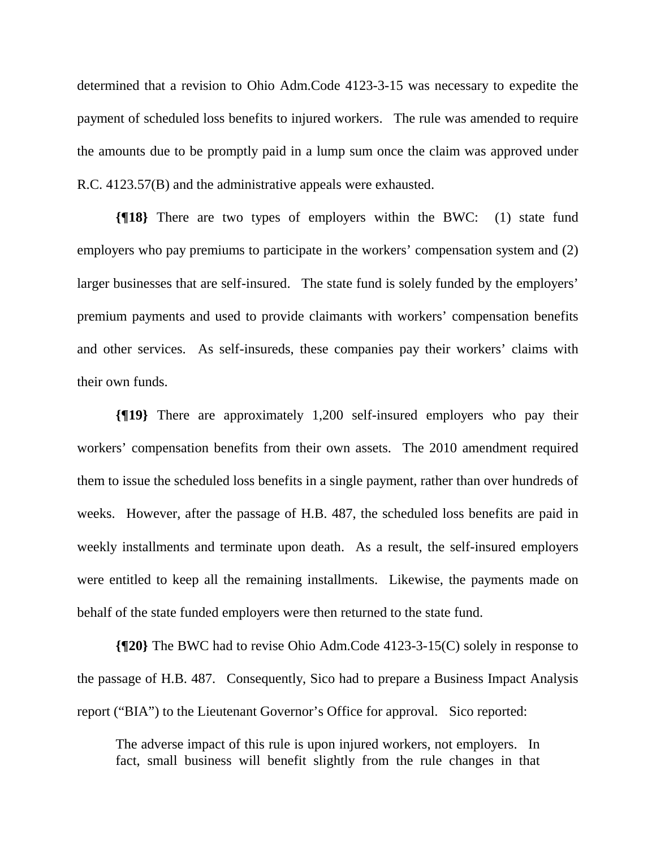determined that a revision to Ohio Adm.Code 4123-3-15 was necessary to expedite the payment of scheduled loss benefits to injured workers. The rule was amended to require the amounts due to be promptly paid in a lump sum once the claim was approved under R.C. 4123.57(B) and the administrative appeals were exhausted.

**{¶18}** There are two types of employers within the BWC: (1) state fund employers who pay premiums to participate in the workers' compensation system and (2) larger businesses that are self-insured. The state fund is solely funded by the employers' premium payments and used to provide claimants with workers' compensation benefits and other services. As self-insureds, these companies pay their workers' claims with their own funds.

**{¶19}** There are approximately 1,200 self-insured employers who pay their workers' compensation benefits from their own assets. The 2010 amendment required them to issue the scheduled loss benefits in a single payment, rather than over hundreds of weeks. However, after the passage of H.B. 487, the scheduled loss benefits are paid in weekly installments and terminate upon death. As a result, the self-insured employers were entitled to keep all the remaining installments. Likewise, the payments made on behalf of the state funded employers were then returned to the state fund.

**{¶20}** The BWC had to revise Ohio Adm.Code 4123-3-15(C) solely in response to the passage of H.B. 487. Consequently, Sico had to prepare a Business Impact Analysis report ("BIA") to the Lieutenant Governor's Office for approval. Sico reported:

The adverse impact of this rule is upon injured workers, not employers. In fact, small business will benefit slightly from the rule changes in that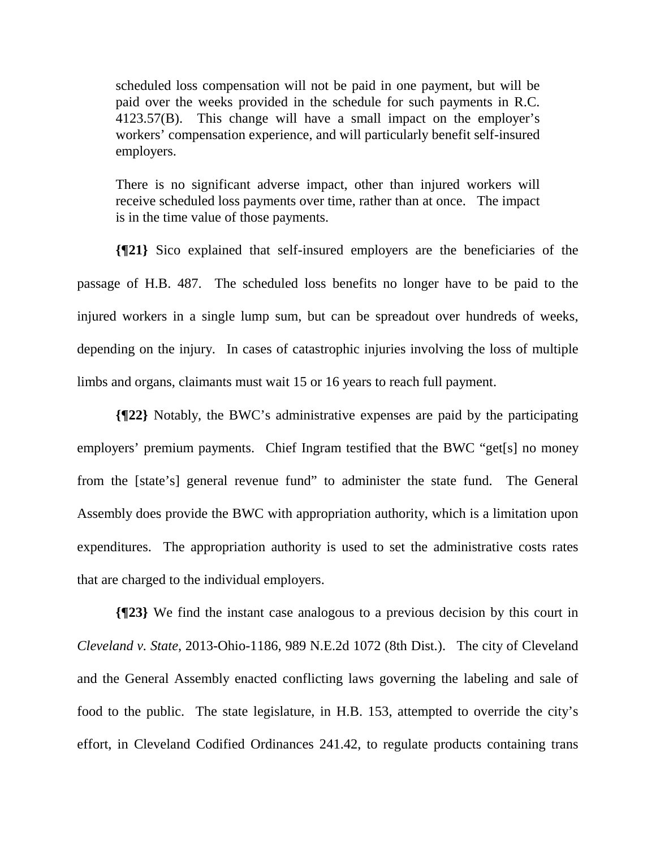scheduled loss compensation will not be paid in one payment, but will be paid over the weeks provided in the schedule for such payments in R.C. 4123.57(B). This change will have a small impact on the employer's workers' compensation experience, and will particularly benefit self-insured employers.

There is no significant adverse impact, other than injured workers will receive scheduled loss payments over time, rather than at once. The impact is in the time value of those payments.

**{¶21}** Sico explained that self-insured employers are the beneficiaries of the passage of H.B. 487. The scheduled loss benefits no longer have to be paid to the injured workers in a single lump sum, but can be spreadout over hundreds of weeks, depending on the injury. In cases of catastrophic injuries involving the loss of multiple limbs and organs, claimants must wait 15 or 16 years to reach full payment.

**{¶22}** Notably, the BWC's administrative expenses are paid by the participating employers' premium payments. Chief Ingram testified that the BWC "get[s] no money from the [state's] general revenue fund" to administer the state fund. The General Assembly does provide the BWC with appropriation authority, which is a limitation upon expenditures. The appropriation authority is used to set the administrative costs rates that are charged to the individual employers.

**{¶23}** We find the instant case analogous to a previous decision by this court in *Cleveland v. State*, 2013-Ohio-1186, 989 N.E.2d 1072 (8th Dist.). The city of Cleveland and the General Assembly enacted conflicting laws governing the labeling and sale of food to the public. The state legislature, in H.B. 153, attempted to override the city's effort, in Cleveland Codified Ordinances 241.42, to regulate products containing trans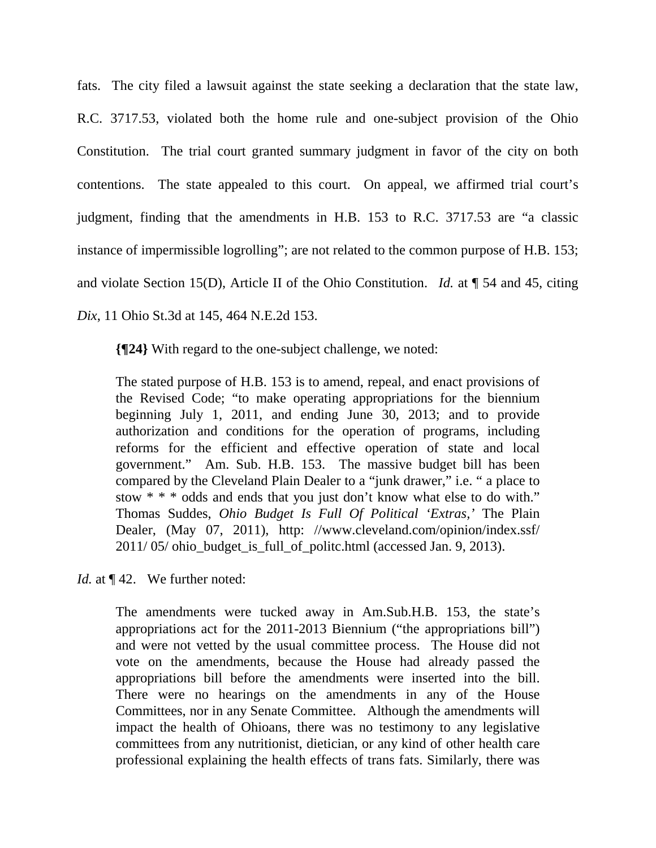fats. The city filed a lawsuit against the state seeking a declaration that the state law, R.C. 3717.53, violated both the home rule and one-subject provision of the Ohio Constitution. The trial court granted summary judgment in favor of the city on both contentions. The state appealed to this court. On appeal, we affirmed trial court's judgment, finding that the amendments in H.B. 153 to R.C. 3717.53 are "a classic instance of impermissible logrolling"; are not related to the common purpose of H.B. 153; and violate Section 15(D), Article II of the Ohio Constitution. *Id.* at ¶ 54 and 45, citing *Dix*, 11 Ohio St.3d at 145, 464 N.E.2d 153.

**{¶24}** With regard to the one-subject challenge, we noted:

The stated purpose of H.B. 153 is to amend, repeal, and enact provisions of the Revised Code; "to make operating appropriations for the biennium beginning July 1, 2011, and ending June 30, 2013; and to provide authorization and conditions for the operation of programs, including reforms for the efficient and effective operation of state and local government." Am. Sub. H.B. 153. The massive budget bill has been compared by the Cleveland Plain Dealer to a "junk drawer," i.e. " a place to stow \* \* \* odds and ends that you just don't know what else to do with." Thomas Suddes, *Ohio Budget Is Full Of Political 'Extras,'* The Plain Dealer, (May 07, 2011), http: //www.cleveland.com/opinion/index.ssf/ 2011/ 05/ ohio\_budget\_is\_full\_of\_politc.html (accessed Jan. 9, 2013).

*Id.* at  $\P$  42. We further noted:

The amendments were tucked away in Am.Sub.H.B. 153, the state's appropriations act for the 2011-2013 Biennium ("the appropriations bill") and were not vetted by the usual committee process. The House did not vote on the amendments, because the House had already passed the appropriations bill before the amendments were inserted into the bill. There were no hearings on the amendments in any of the House Committees, nor in any Senate Committee. Although the amendments will impact the health of Ohioans, there was no testimony to any legislative committees from any nutritionist, dietician, or any kind of other health care professional explaining the health effects of trans fats. Similarly, there was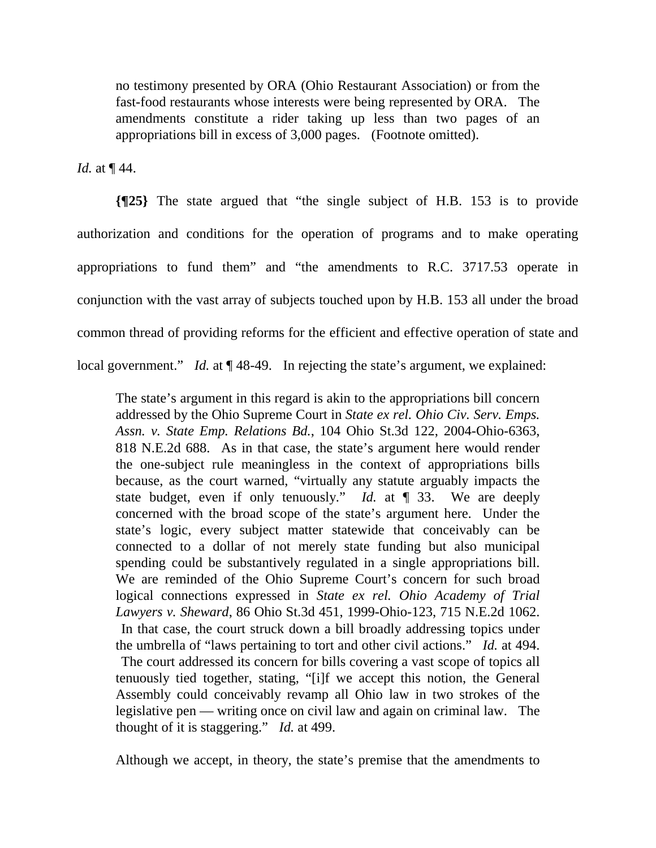no testimony presented by ORA (Ohio Restaurant Association) or from the fast-food restaurants whose interests were being represented by ORA. The amendments constitute a rider taking up less than two pages of an appropriations bill in excess of 3,000 pages. (Footnote omitted).

*Id.* at ¶ 44.

**{¶25}** The state argued that "the single subject of H.B. 153 is to provide authorization and conditions for the operation of programs and to make operating appropriations to fund them" and "the amendments to R.C. 3717.53 operate in conjunction with the vast array of subjects touched upon by H.B. 153 all under the broad common thread of providing reforms for the efficient and effective operation of state and local government." *Id.* at  $\P$  48-49. In rejecting the state's argument, we explained:

The state's argument in this regard is akin to the appropriations bill concern addressed by the Ohio Supreme Court in *State ex rel. Ohio Civ. Serv. Emps. Assn. v. State Emp. Relations Bd.*, 104 Ohio St.3d 122, 2004-Ohio-6363, 818 N.E.2d 688. As in that case, the state's argument here would render the one-subject rule meaningless in the context of appropriations bills because, as the court warned, "virtually any statute arguably impacts the state budget, even if only tenuously." *Id.* at ¶ 33. We are deeply concerned with the broad scope of the state's argument here. Under the state's logic, every subject matter statewide that conceivably can be connected to a dollar of not merely state funding but also municipal spending could be substantively regulated in a single appropriations bill. We are reminded of the Ohio Supreme Court's concern for such broad logical connections expressed in *State ex rel. Ohio Academy of Trial Lawyers v. Sheward*, 86 Ohio St.3d 451, 1999-Ohio-123, 715 N.E.2d 1062. In that case, the court struck down a bill broadly addressing topics under the umbrella of "laws pertaining to tort and other civil actions." *Id.* at 494. The court addressed its concern for bills covering a vast scope of topics all tenuously tied together, stating, "[i]f we accept this notion, the General Assembly could conceivably revamp all Ohio law in two strokes of the legislative pen — writing once on civil law and again on criminal law. The thought of it is staggering." *Id.* at 499.

Although we accept, in theory, the state's premise that the amendments to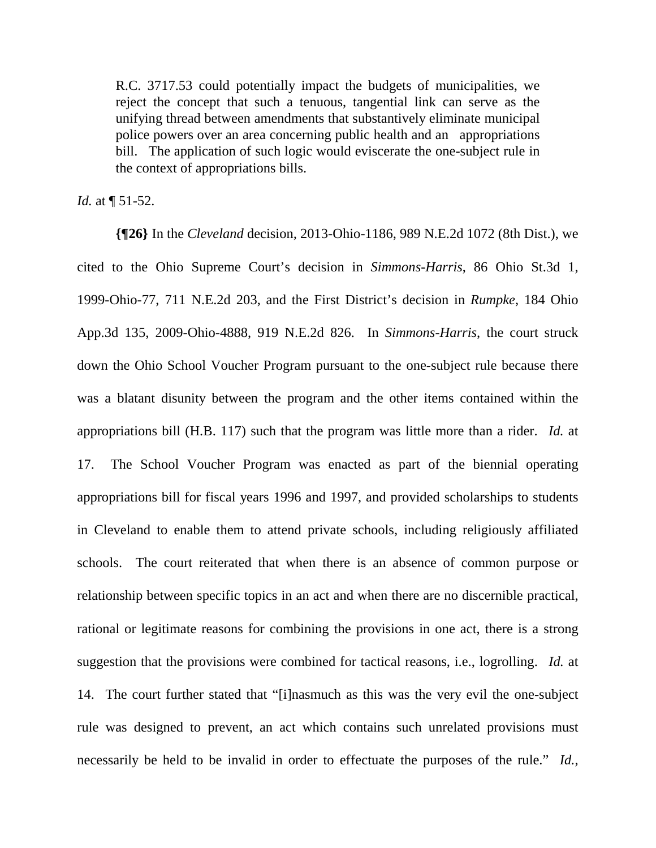R.C. 3717.53 could potentially impact the budgets of municipalities, we reject the concept that such a tenuous, tangential link can serve as the unifying thread between amendments that substantively eliminate municipal police powers over an area concerning public health and an appropriations bill. The application of such logic would eviscerate the one-subject rule in the context of appropriations bills.

*Id.* at  $\P$  51-52.

**{¶26}** In the *Cleveland* decision*,* 2013-Ohio-1186, 989 N.E.2d 1072 (8th Dist.), we cited to the Ohio Supreme Court's decision in *Simmons-Harris*, 86 Ohio St.3d 1, 1999-Ohio-77, 711 N.E.2d 203, and the First District's decision in *Rumpke*, 184 Ohio App.3d 135, 2009-Ohio-4888, 919 N.E.2d 826. In *Simmons-Harris*, the court struck down the Ohio School Voucher Program pursuant to the one-subject rule because there was a blatant disunity between the program and the other items contained within the appropriations bill (H.B. 117) such that the program was little more than a rider. *Id.* at 17. The School Voucher Program was enacted as part of the biennial operating appropriations bill for fiscal years 1996 and 1997, and provided scholarships to students in Cleveland to enable them to attend private schools, including religiously affiliated schools. The court reiterated that when there is an absence of common purpose or relationship between specific topics in an act and when there are no discernible practical, rational or legitimate reasons for combining the provisions in one act, there is a strong suggestion that the provisions were combined for tactical reasons, i.e., logrolling. *Id.* at 14. The court further stated that "[i]nasmuch as this was the very evil the one-subject rule was designed to prevent, an act which contains such unrelated provisions must necessarily be held to be invalid in order to effectuate the purposes of the rule." *Id.*,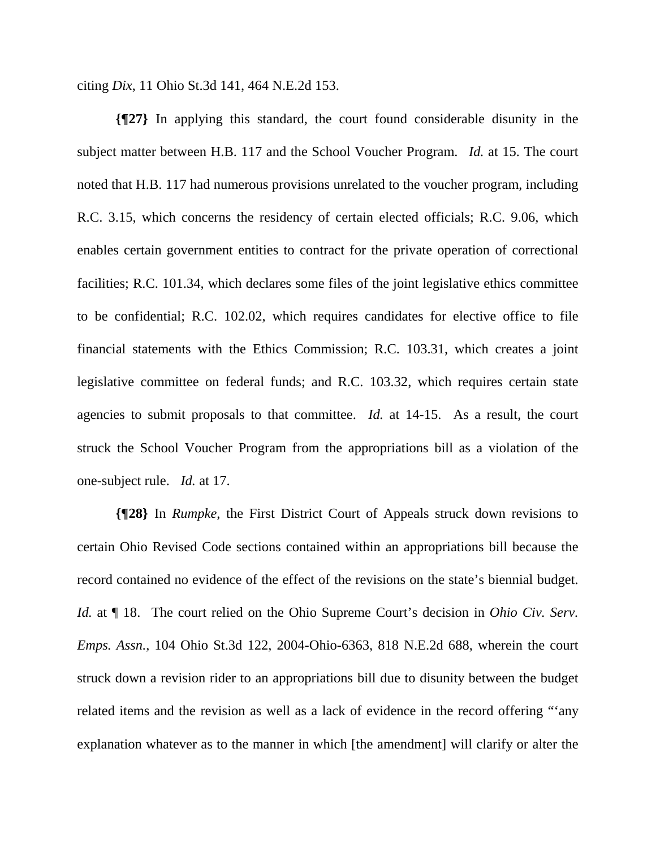citing *Dix*, 11 Ohio St.3d 141, 464 N.E.2d 153.

**{¶27}** In applying this standard, the court found considerable disunity in the subject matter between H.B. 117 and the School Voucher Program. *Id.* at 15. The court noted that H.B. 117 had numerous provisions unrelated to the voucher program, including R.C. 3.15, which concerns the residency of certain elected officials; R.C. 9.06, which enables certain government entities to contract for the private operation of correctional facilities; R.C. 101.34, which declares some files of the joint legislative ethics committee to be confidential; R.C. 102.02, which requires candidates for elective office to file financial statements with the Ethics Commission; R.C. 103.31, which creates a joint legislative committee on federal funds; and R.C. 103.32, which requires certain state agencies to submit proposals to that committee. *Id.* at 14-15. As a result, the court struck the School Voucher Program from the appropriations bill as a violation of the one-subject rule. *Id.* at 17.

**{¶28}** In *Rumpke*, the First District Court of Appeals struck down revisions to certain Ohio Revised Code sections contained within an appropriations bill because the record contained no evidence of the effect of the revisions on the state's biennial budget. *Id.* at ¶ 18. The court relied on the Ohio Supreme Court's decision in *Ohio Civ. Serv. Emps. Assn.*, 104 Ohio St.3d 122, 2004-Ohio-6363, 818 N.E.2d 688, wherein the court struck down a revision rider to an appropriations bill due to disunity between the budget related items and the revision as well as a lack of evidence in the record offering "'any explanation whatever as to the manner in which [the amendment] will clarify or alter the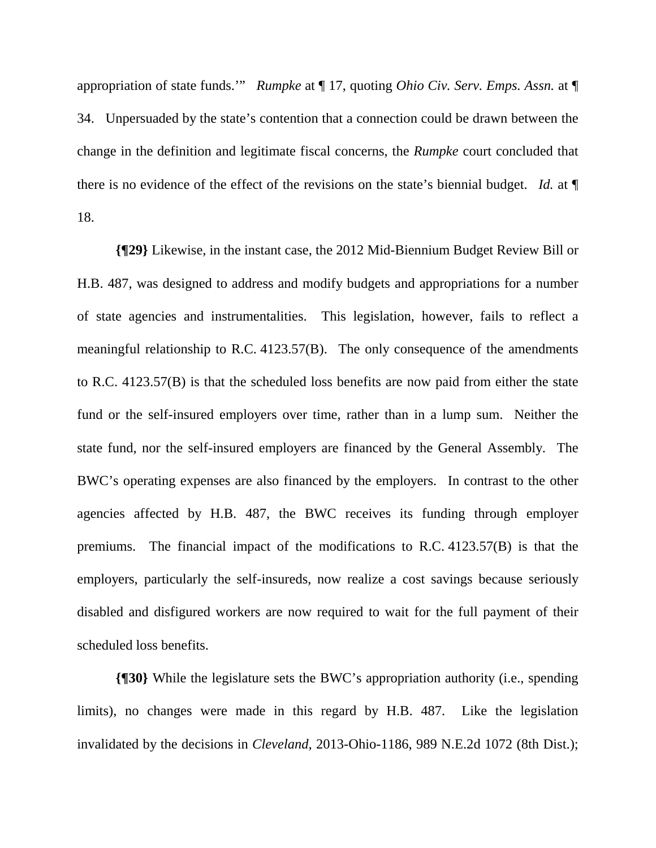appropriation of state funds.'" *Rumpke* at ¶ 17, quoting *Ohio Civ. Serv. Emps. Assn.* at ¶ 34. Unpersuaded by the state's contention that a connection could be drawn between the change in the definition and legitimate fiscal concerns, the *Rumpke* court concluded that there is no evidence of the effect of the revisions on the state's biennial budget. *Id.* at ¶ 18.

**{¶29}** Likewise, in the instant case, the 2012 Mid-Biennium Budget Review Bill or H.B. 487, was designed to address and modify budgets and appropriations for a number of state agencies and instrumentalities. This legislation, however, fails to reflect a meaningful relationship to R.C. 4123.57(B). The only consequence of the amendments to R.C. 4123.57(B) is that the scheduled loss benefits are now paid from either the state fund or the self-insured employers over time, rather than in a lump sum. Neither the state fund, nor the self-insured employers are financed by the General Assembly. The BWC's operating expenses are also financed by the employers. In contrast to the other agencies affected by H.B. 487, the BWC receives its funding through employer premiums. The financial impact of the modifications to R.C. 4123.57(B) is that the employers, particularly the self-insureds, now realize a cost savings because seriously disabled and disfigured workers are now required to wait for the full payment of their scheduled loss benefits.

**{¶30}** While the legislature sets the BWC's appropriation authority (i.e., spending limits), no changes were made in this regard by H.B. 487. Like the legislation invalidated by the decisions in *Cleveland,* 2013-Ohio-1186, 989 N.E.2d 1072 (8th Dist.);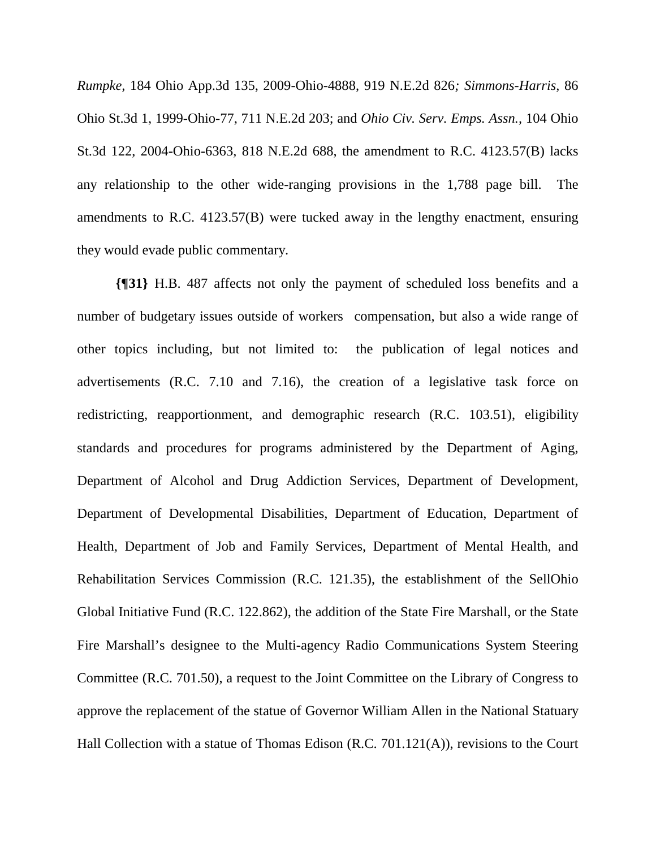*Rumpke,* 184 Ohio App.3d 135, 2009-Ohio-4888, 919 N.E.2d 826*; Simmons-Harris,* 86 Ohio St.3d 1, 1999-Ohio-77, 711 N.E.2d 203; and *Ohio Civ. Serv. Emps. Assn.,* 104 Ohio St.3d 122, 2004-Ohio-6363, 818 N.E.2d 688, the amendment to R.C. 4123.57(B) lacks any relationship to the other wide-ranging provisions in the 1,788 page bill. The amendments to R.C. 4123.57(B) were tucked away in the lengthy enactment, ensuring they would evade public commentary.

**{¶31}** H.B. 487 affects not only the payment of scheduled loss benefits and a number of budgetary issues outside of workers compensation, but also a wide range of other topics including, but not limited to: the publication of legal notices and advertisements (R.C. 7.10 and 7.16), the creation of a legislative task force on redistricting, reapportionment, and demographic research (R.C. 103.51), eligibility standards and procedures for programs administered by the Department of Aging, Department of Alcohol and Drug Addiction Services, Department of Development, Department of Developmental Disabilities, Department of Education, Department of Health, Department of Job and Family Services, Department of Mental Health, and Rehabilitation Services Commission (R.C. 121.35), the establishment of the SellOhio Global Initiative Fund (R.C. 122.862), the addition of the State Fire Marshall, or the State Fire Marshall's designee to the Multi-agency Radio Communications System Steering Committee (R.C. 701.50), a request to the Joint Committee on the Library of Congress to approve the replacement of the statue of Governor William Allen in the National Statuary Hall Collection with a statue of Thomas Edison (R.C. 701.121(A)), revisions to the Court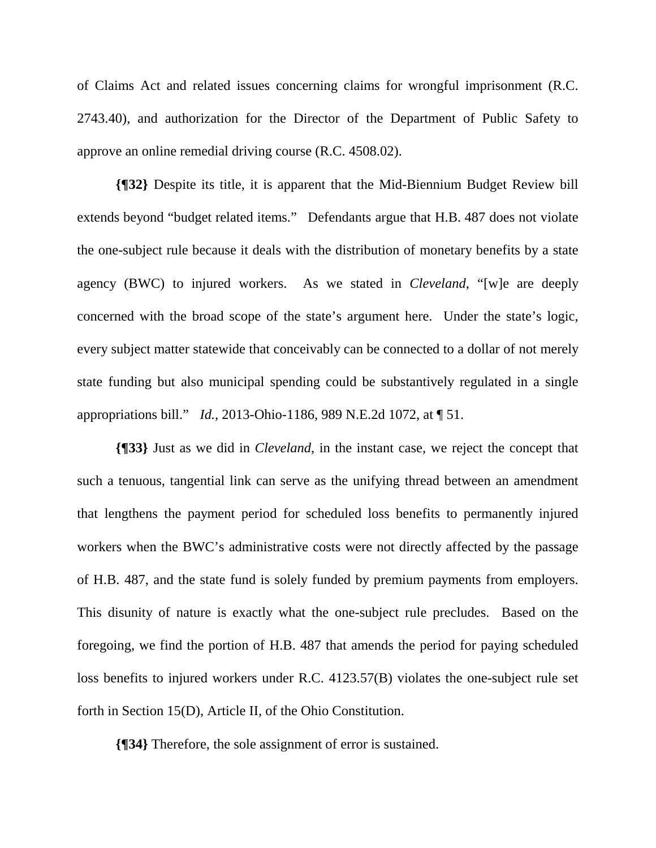of Claims Act and related issues concerning claims for wrongful imprisonment (R.C. 2743.40), and authorization for the Director of the Department of Public Safety to approve an online remedial driving course (R.C. 4508.02).

**{¶32}** Despite its title, it is apparent that the Mid-Biennium Budget Review bill extends beyond "budget related items." Defendants argue that H.B. 487 does not violate the one-subject rule because it deals with the distribution of monetary benefits by a state agency (BWC) to injured workers. As we stated in *Cleveland*, "[w]e are deeply concerned with the broad scope of the state's argument here. Under the state's logic, every subject matter statewide that conceivably can be connected to a dollar of not merely state funding but also municipal spending could be substantively regulated in a single appropriations bill." *Id.,* 2013-Ohio-1186, 989 N.E.2d 1072, at ¶ 51.

**{¶33}** Just as we did in *Cleveland*, in the instant case, we reject the concept that such a tenuous, tangential link can serve as the unifying thread between an amendment that lengthens the payment period for scheduled loss benefits to permanently injured workers when the BWC's administrative costs were not directly affected by the passage of H.B. 487, and the state fund is solely funded by premium payments from employers. This disunity of nature is exactly what the one-subject rule precludes. Based on the foregoing, we find the portion of H.B. 487 that amends the period for paying scheduled loss benefits to injured workers under R.C. 4123.57(B) violates the one-subject rule set forth in Section 15(D), Article II, of the Ohio Constitution.

**{¶34}** Therefore, the sole assignment of error is sustained.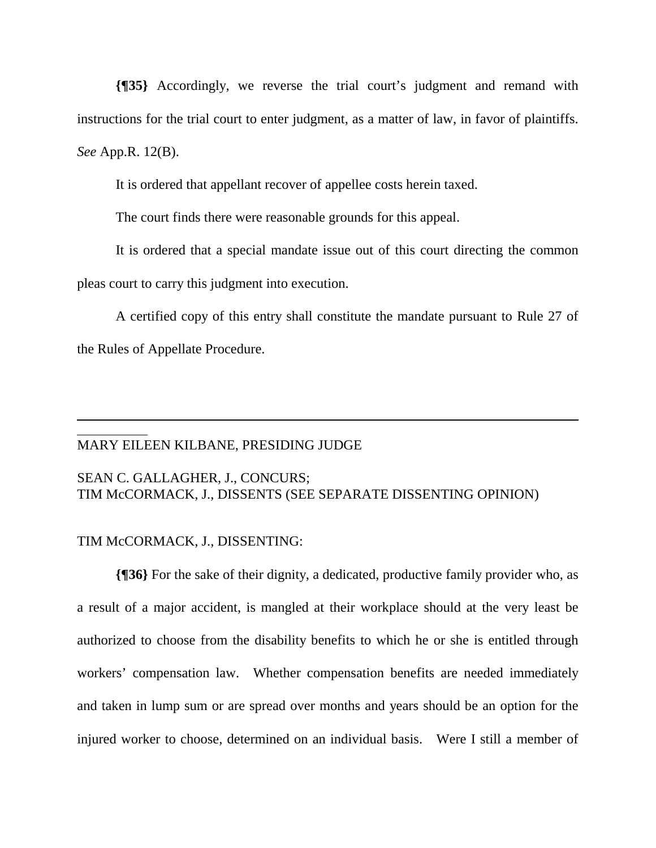**{¶35}** Accordingly, we reverse the trial court's judgment and remand with instructions for the trial court to enter judgment, as a matter of law, in favor of plaintiffs. *See* App.R. 12(B).

It is ordered that appellant recover of appellee costs herein taxed.

The court finds there were reasonable grounds for this appeal.

It is ordered that a special mandate issue out of this court directing the common pleas court to carry this judgment into execution.

A certified copy of this entry shall constitute the mandate pursuant to Rule 27 of the Rules of Appellate Procedure.

### MARY EILEEN KILBANE, PRESIDING JUDGE

# SEAN C. GALLAGHER, J., CONCURS; TIM McCORMACK, J., DISSENTS (SEE SEPARATE DISSENTING OPINION)

# TIM McCORMACK, J., DISSENTING:

 $\overline{a}$  $\overline{a}$ 

**{¶36}** For the sake of their dignity, a dedicated, productive family provider who, as a result of a major accident, is mangled at their workplace should at the very least be authorized to choose from the disability benefits to which he or she is entitled through workers' compensation law. Whether compensation benefits are needed immediately and taken in lump sum or are spread over months and years should be an option for the injured worker to choose, determined on an individual basis. Were I still a member of